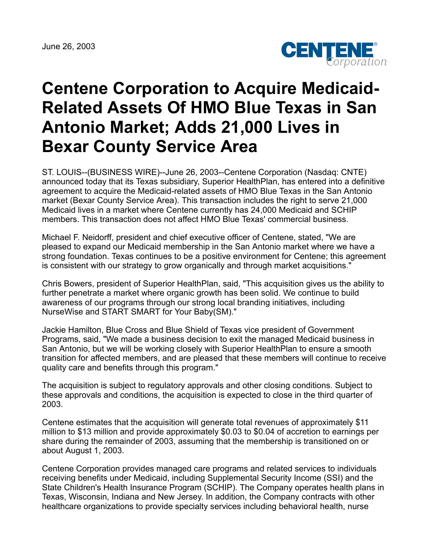June 26, 2003



## **Centene Corporation to Acquire Medicaid-Related Assets Of HMO Blue Texas in San Antonio Market; Adds 21,000 Lives in Bexar County Service Area**

ST. LOUIS--(BUSINESS WIRE)--June 26, 2003--Centene Corporation (Nasdaq: CNTE) announced today that its Texas subsidiary, Superior HealthPlan, has entered into a definitive agreement to acquire the Medicaid-related assets of HMO Blue Texas in the San Antonio market (Bexar County Service Area). This transaction includes the right to serve 21,000 Medicaid lives in a market where Centene currently has 24,000 Medicaid and SCHIP members. This transaction does not affect HMO Blue Texas' commercial business.

Michael F. Neidorff, president and chief executive officer of Centene, stated, "We are pleased to expand our Medicaid membership in the San Antonio market where we have a strong foundation. Texas continues to be a positive environment for Centene; this agreement is consistent with our strategy to grow organically and through market acquisitions."

Chris Bowers, president of Superior HealthPlan, said, "This acquisition gives us the ability to further penetrate a market where organic growth has been solid. We continue to build awareness of our programs through our strong local branding initiatives, including NurseWise and START SMART for Your Baby(SM)."

Jackie Hamilton, Blue Cross and Blue Shield of Texas vice president of Government Programs, said, "We made a business decision to exit the managed Medicaid business in San Antonio, but we will be working closely with Superior HealthPlan to ensure a smooth transition for affected members, and are pleased that these members will continue to receive quality care and benefits through this program."

The acquisition is subject to regulatory approvals and other closing conditions. Subject to these approvals and conditions, the acquisition is expected to close in the third quarter of 2003.

Centene estimates that the acquisition will generate total revenues of approximately \$11 million to \$13 million and provide approximately \$0.03 to \$0.04 of accretion to earnings per share during the remainder of 2003, assuming that the membership is transitioned on or about August 1, 2003.

Centene Corporation provides managed care programs and related services to individuals receiving benefits under Medicaid, including Supplemental Security Income (SSI) and the State Children's Health Insurance Program (SCHIP). The Company operates health plans in Texas, Wisconsin, Indiana and New Jersey. In addition, the Company contracts with other healthcare organizations to provide specialty services including behavioral health, nurse